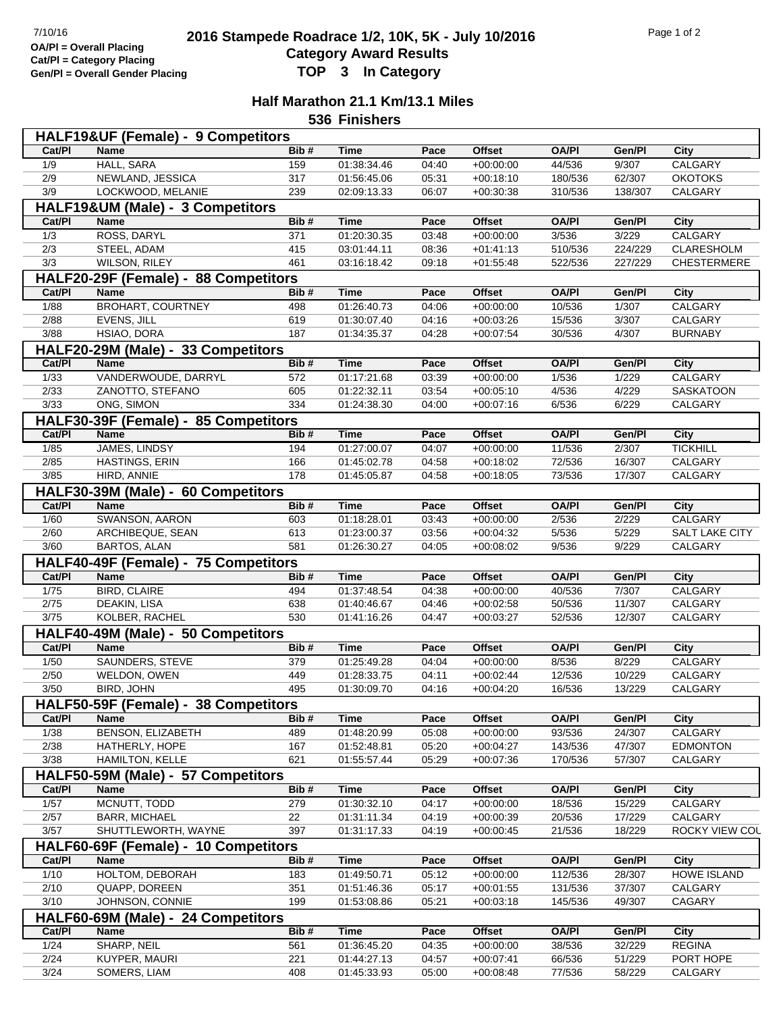## <sup>7/10/16</sup><br> **2016 Stampede Roadrace 1/2, 10K, 5K - July 10/2016** Page 1 of 2<br> **Cotogory Award Booute Category Award Results Gen/Pl = Overall Gender Placing TOP 3 In Category**

## **Half Marathon 21.1 Km/13.1 Miles**

**536 Finishers**

|                  | HALF19&UF (Female) - 9 Competitors   |      |             |       |               |              |         |                                    |
|------------------|--------------------------------------|------|-------------|-------|---------------|--------------|---------|------------------------------------|
| Cat/PI           | <b>Name</b>                          | Bib# | <b>Time</b> | Pace  | <b>Offset</b> | <b>OA/PI</b> | Gen/Pl  | City                               |
| 1/9              | <b>HALL, SARA</b>                    | 159  | 01:38:34.46 | 04:40 | $+00:00:00$   | 44/536       | 9/307   | <b>CALGARY</b>                     |
| 2/9              | NEWLAND, JESSICA                     | 317  | 01:56:45.06 | 05:31 | $+00:18:10$   | 180/536      | 62/307  | <b>OKOTOKS</b>                     |
| 3/9              | LOCKWOOD, MELANIE                    | 239  | 02:09:13.33 | 06:07 | $+00:30:38$   | 310/536      | 138/307 | CALGARY                            |
|                  | HALF19&UM (Male) - 3 Competitors     |      |             |       |               |              |         |                                    |
| Cat/PI           | Name                                 | Bib# | <b>Time</b> | Pace  | <b>Offset</b> | <b>OA/PI</b> | Gen/Pl  | City                               |
| 1/3              | ROSS, DARYL                          | 371  | 01:20:30.35 | 03:48 | $+00:00:00$   | 3/536        | 3/229   | <b>CALGARY</b>                     |
| $\overline{2/3}$ | STEEL, ADAM                          | 415  | 03:01:44.11 | 08:36 | $+01:41:13$   | 510/536      | 224/229 | <b>CLARESHOLM</b>                  |
| 3/3              | WILSON, RILEY                        | 461  | 03:16:18.42 | 09:18 | $+01:55:48$   | 522/536      | 227/229 | <b>CHESTERMERE</b>                 |
|                  |                                      |      |             |       |               |              |         |                                    |
|                  | HALF20-29F (Female) - 88 Competitors |      |             |       |               |              |         |                                    |
| Cat/PI           | Name                                 | Bib# | Time        | Pace  | <b>Offset</b> | <b>OA/PI</b> | Gen/Pl  | City                               |
| 1/88             | <b>BROHART, COURTNEY</b>             | 498  | 01:26:40.73 | 04:06 | $+00:00:00$   | 10/536       | 1/307   | CALGARY                            |
| 2/88             | EVENS, JILL                          | 619  | 01:30:07.40 | 04:16 | $+00:03:26$   | 15/536       | 3/307   | CALGARY                            |
| 3/88             | HSIAO, DORA                          | 187  | 01:34:35.37 | 04:28 | $+00:07:54$   | 30/536       | 4/307   | <b>BURNABY</b>                     |
|                  | HALF20-29M (Male) - 33 Competitors   |      |             |       |               |              |         |                                    |
| Cat/PI           | <b>Name</b>                          | Bib# | <b>Time</b> | Pace  | <b>Offset</b> | <b>OA/PI</b> | Gen/Pl  | <b>City</b>                        |
| 1/33             | VANDERWOUDE, DARRYL                  | 572  | 01:17:21.68 | 03:39 | $+00:00:00$   | 1/536        | 1/229   | CALGARY                            |
| 2/33             | ZANOTTO, STEFANO                     | 605  | 01:22:32.11 | 03:54 | $+00:05:10$   | 4/536        | 4/229   | SASKATOON                          |
| 3/33             | ONG, SIMON                           | 334  | 01:24:38.30 | 04:00 | $+00:07:16$   | 6/536        | 6/229   | CALGARY                            |
|                  |                                      |      |             |       |               |              |         |                                    |
|                  | HALF30-39F (Female) - 85 Competitors |      |             |       |               |              |         |                                    |
| Cat/PI           | Name                                 | Bib# | Time        | Pace  | <b>Offset</b> | <b>OA/PI</b> | Gen/Pl  | City                               |
| 1/85             | JAMES, LINDSY                        | 194  | 01:27:00.07 | 04:07 | $+00:00:00$   | 11/536       | 2/307   | <b>TICKHILL</b>                    |
| 2/85             | HASTINGS, ERIN                       | 166  | 01:45:02.78 | 04:58 | $+00:18:02$   | 72/536       | 16/307  | CALGARY                            |
| 3/85             | HIRD, ANNIE                          | 178  | 01:45:05.87 | 04:58 | $+00:18:05$   | 73/536       | 17/307  | CALGARY                            |
|                  | HALF30-39M (Male) - 60 Competitors   |      |             |       |               |              |         |                                    |
| Cat/PI           | Name                                 | Bib# | <b>Time</b> | Pace  | <b>Offset</b> | <b>OA/PI</b> | Gen/Pl  | City                               |
| 1/60             | SWANSON, AARON                       | 603  | 01:18:28.01 | 03:43 | $+00:00:00$   | 2/536        | 2/229   | CALGARY                            |
| 2/60             | ARCHIBEQUE, SEAN                     | 613  | 01:23:00.37 | 03:56 | $+00:04:32$   | 5/536        | 5/229   | SALT LAKE CITY                     |
| 3/60             | <b>BARTOS, ALAN</b>                  | 581  | 01:26:30.27 | 04:05 | $+00:08:02$   | 9/536        | 9/229   | CALGARY                            |
|                  | HALF40-49F (Female) - 75 Competitors |      |             |       |               |              |         |                                    |
|                  |                                      |      |             |       |               |              |         |                                    |
| Cat/PI           | <b>Name</b>                          | Bib# | <b>Time</b> | Pace  | <b>Offset</b> | <b>OA/PI</b> | Gen/Pl  | City                               |
| $\frac{1}{75}$   | <b>BIRD, CLAIRE</b>                  | 494  | 01:37:48.54 | 04:38 | $+00:00:00$   | 40/536       | 7/307   | CALGARY                            |
| 2/75             | DEAKIN, LISA                         | 638  | 01:40:46.67 | 04:46 | $+00:02:58$   | 50/536       | 11/307  | CALGARY                            |
| 3/75             | KOLBER, RACHEL                       | 530  | 01:41:16.26 | 04:47 | $+00:03:27$   | 52/536       | 12/307  | CALGARY                            |
|                  | HALF40-49M (Male) - 50 Competitors   |      |             |       |               |              |         |                                    |
| Cat/PI           | Name                                 | Bib# | Time        | Pace  | <b>Offset</b> | <b>OA/PI</b> | Gen/Pl  | City                               |
| 1/50             | SAUNDERS, STEVE                      | 379  | 01:25:49.28 | 04:04 | $+00:00:00$   | 8/536        | 8/229   | CALGARY                            |
| 2/50             | WELDON, OWEN                         | 449  | 01:28:33.75 | 04:11 | $+00:02:44$   | 12/536       | 10/229  | CALGARY                            |
| 3/50             | BIRD, JOHN                           | 495  | 01:30:09.70 | 04:16 | $+00:04:20$   | 16/536       | 13/229  | CALGARY                            |
|                  | HALF50-59F (Female) - 38 Competitors |      |             |       |               |              |         |                                    |
| Cat/PI           | Name                                 | Bib# | Time        | Pace  | <b>Offset</b> | <b>OA/PI</b> | Gen/Pl  | City                               |
|                  | <b>BENSON, ELIZABETH</b>             |      |             |       |               |              |         |                                    |
| 1/38             |                                      | 489  | 01:48:20.99 | 05:08 | $+00:00:00$   | 93/536       | 24/307  | CALGARY                            |
| 2/38             | HATHERLY, HOPE                       | 167  | 01:52:48.81 | 05:20 | $+00:04:27$   | 143/536      | 47/307  | <b>EDMONTON</b>                    |
| 3/38             | HAMILTON, KELLE                      | 621  | 01:55:57.44 | 05:29 | $+00:07:36$   | 170/536      | 57/307  | CALGARY                            |
|                  | HALF50-59M (Male) - 57 Competitors   |      |             |       |               |              |         |                                    |
| Cat/PI           | Name                                 | Bib# | Time        | Pace  | <b>Offset</b> | OA/PI        | Gen/Pl  | City                               |
|                  |                                      |      | 01:30:32.10 | 04:17 | $+00:00:00$   | 18/536       | 15/229  | CALGARY                            |
| 1/57             | MCNUTT, TODD                         | 279  |             |       |               |              |         |                                    |
| 2/57             | <b>BARR, MICHAEL</b>                 | 22   | 01:31:11.34 | 04:19 | $+00:00:39$   | 20/536       | 17/229  | CALGARY                            |
| 3/57             | SHUTTLEWORTH, WAYNE                  | 397  | 01:31:17.33 | 04:19 | $+00:00:45$   | 21/536       | 18/229  |                                    |
|                  |                                      |      |             |       |               |              |         |                                    |
|                  | HALF60-69F (Female) - 10 Competitors |      |             |       |               |              |         |                                    |
| Cat/PI           | Name                                 | Bib# | <b>Time</b> | Pace  | <b>Offset</b> | <b>OA/PI</b> | Gen/Pl  | City                               |
| 1/10             | HOLTOM, DEBORAH                      | 183  | 01:49:50.71 | 05:12 | $+00:00:00$   | 112/536      | 28/307  | <b>HOWE ISLAND</b>                 |
| 2/10             | QUAPP, DOREEN                        | 351  | 01:51:46.36 | 05:17 | $+00:01:55$   | 131/536      | 37/307  | CALGARY                            |
| 3/10             | JOHNSON, CONNIE                      | 199  | 01:53:08.86 | 05:21 | $+00:03:18$   | 145/536      | 49/307  | CAGARY                             |
|                  | HALF60-69M (Male) - 24 Competitors   |      |             |       |               |              |         |                                    |
| Cat/PI           | Name                                 | Bib# | <b>Time</b> | Pace  | Offset        | <b>OA/PI</b> | Gen/Pl  | City                               |
| 1/24             | SHARP, NEIL                          | 561  | 01:36:45.20 | 04:35 | $+00:00:00$   | 38/536       | 32/229  | <b>REGINA</b>                      |
| 2/24             | KUYPER, MAURI                        | 221  | 01:44:27.13 | 04:57 | $+00:07:41$   | 66/536       | 51/229  | <b>ROCKY VIEW COL</b><br>PORT HOPE |